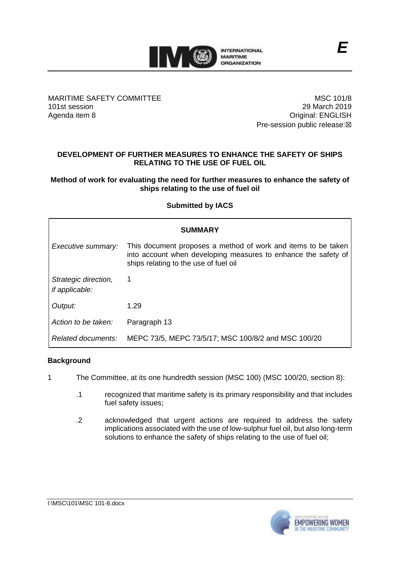

MARITIME SAFETY COMMITTEE 101st session Agenda item 8

MSC 101/8 29 March 2019 Original: ENGLISH Pre-session public release:☒

# **DEVELOPMENT OF FURTHER MEASURES TO ENHANCE THE SAFETY OF SHIPS RELATING TO THE USE OF FUEL OIL**

## **Method of work for evaluating the need for further measures to enhance the safety of ships relating to the use of fuel oil**

## **Submitted by IACS**

| <b>SUMMARY</b>                         |                                                                                                                                                                          |
|----------------------------------------|--------------------------------------------------------------------------------------------------------------------------------------------------------------------------|
| Executive summary:                     | This document proposes a method of work and items to be taken<br>into account when developing measures to enhance the safety of<br>ships relating to the use of fuel oil |
| Strategic direction,<br>if applicable: | 1                                                                                                                                                                        |
| Output:                                | 1.29                                                                                                                                                                     |
| Action to be taken:                    | Paragraph 13                                                                                                                                                             |
| Related documents:                     | MEPC 73/5, MEPC 73/5/17; MSC 100/8/2 and MSC 100/20                                                                                                                      |

## **Background**

- 1 The Committee, at its one hundredth session (MSC 100) (MSC 100/20, section 8):
	- .1 recognized that maritime safety is its primary responsibility and that includes fuel safety issues;
	- .2 acknowledged that urgent actions are required to address the safety implications associated with the use of low-sulphur fuel oil, but also long-term solutions to enhance the safety of ships relating to the use of fuel oil;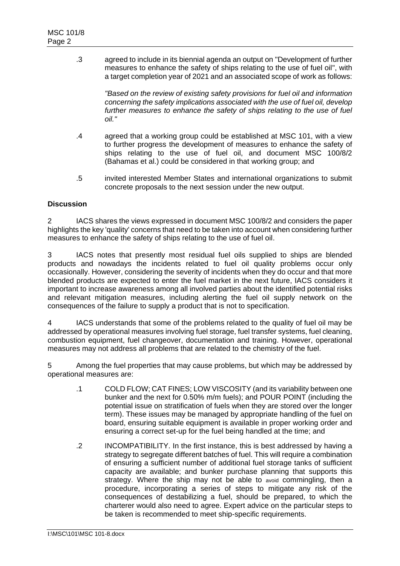.3 agreed to include in its biennial agenda an output on "Development of further measures to enhance the safety of ships relating to the use of fuel oil", with a target completion year of 2021 and an associated scope of work as follows:

> *"Based on the review of existing safety provisions for fuel oil and information concerning the safety implications associated with the use of fuel oil, develop further measures to enhance the safety of ships relating to the use of fuel oil."*

- .4 agreed that a working group could be established at MSC 101, with a view to further progress the development of measures to enhance the safety of ships relating to the use of fuel oil, and document MSC 100/8/2 (Bahamas et al.) could be considered in that working group; and
- .5 invited interested Member States and international organizations to submit concrete proposals to the next session under the new output.

## **Discussion**

2 IACS shares the views expressed in document MSC 100/8/2 and considers the paper highlights the key 'quality' concerns that need to be taken into account when considering further measures to enhance the safety of ships relating to the use of fuel oil.

3 IACS notes that presently most residual fuel oils supplied to ships are blended products and nowadays the incidents related to fuel oil quality problems occur only occasionally. However, considering the severity of incidents when they do occur and that more blended products are expected to enter the fuel market in the next future, IACS considers it important to increase awareness among all involved parties about the identified potential risks and relevant mitigation measures, including alerting the fuel oil supply network on the consequences of the failure to supply a product that is not to specification.

4 IACS understands that some of the problems related to the quality of fuel oil may be addressed by operational measures involving fuel storage, fuel transfer systems, fuel cleaning, combustion equipment, fuel changeover, documentation and training. However, operational measures may not address all problems that are related to the chemistry of the fuel.

5 Among the fuel properties that may cause problems, but which may be addressed by operational measures are:

- .1 COLD FLOW; CAT FINES; LOW VISCOSITY (and its variability between one bunker and the next for 0.50% m/m fuels); and POUR POINT (including the potential issue on stratification of fuels when they are stored over the longer term). These issues may be managed by appropriate handling of the fuel on board, ensuring suitable equipment is available in proper working order and ensuring a correct set-up for the fuel being handled at the time; and
- .2 INCOMPATIBILITY. In the first instance, this is best addressed by having a strategy to segregate different batches of fuel. This will require a combination of ensuring a sufficient number of additional fuel storage tanks of sufficient capacity are available; and bunker purchase planning that supports this strategy. Where the ship may not be able to avoid commingling, then a procedure, incorporating a series of steps to mitigate any risk of the consequences of destabilizing a fuel, should be prepared, to which the charterer would also need to agree. Expert advice on the particular steps to be taken is recommended to meet ship-specific requirements.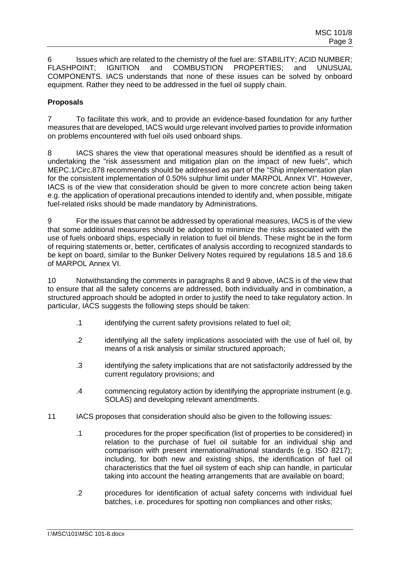6 Issues which are related to the chemistry of the fuel are: STABILITY; ACID NUMBER; FLASHPOINT; IGNITION and COMBUSTION PROPERTIES; and UNUSUAL COMPONENTS. IACS understands that none of these issues can be solved by onboard equipment. Rather they need to be addressed in the fuel oil supply chain.

## **Proposals**

7 To facilitate this work, and to provide an evidence-based foundation for any further measures that are developed, IACS would urge relevant involved parties to provide information on problems encountered with fuel oils used onboard ships.

8 IACS shares the view that operational measures should be identified as a result of undertaking the "risk assessment and mitigation plan on the impact of new fuels", which MEPC.1/Circ.878 recommends should be addressed as part of the "Ship implementation plan for the consistent implementation of 0.50% sulphur limit under MARPOL Annex VI". However, IACS is of the view that consideration should be given to more concrete action being taken e.g. the application of operational precautions intended to identify and, when possible, mitigate fuel-related risks should be made mandatory by Administrations.

9 For the issues that cannot be addressed by operational measures, IACS is of the view that some additional measures should be adopted to minimize the risks associated with the use of fuels onboard ships, especially in relation to fuel oil blends. These might be in the form of requiring statements or, better, certificates of analysis according to recognized standards to be kept on board, similar to the Bunker Delivery Notes required by regulations 18.5 and 18.6 of MARPOL Annex VI.

10 Notwithstanding the comments in paragraphs 8 and 9 above, IACS is of the view that to ensure that all the safety concerns are addressed, both individually and in combination, a structured approach should be adopted in order to justify the need to take regulatory action. In particular, IACS suggests the following steps should be taken:

- .1 identifying the current safety provisions related to fuel oil;
- .2 identifying all the safety implications associated with the use of fuel oil, by means of a risk analysis or similar structured approach;
- .3 identifying the safety implications that are not satisfactorily addressed by the current regulatory provisions; and
- .4 commencing regulatory action by identifying the appropriate instrument (e.g. SOLAS) and developing relevant amendments.
- 11 IACS proposes that consideration should also be given to the following issues:
	- .1 procedures for the proper specification (list of properties to be considered) in relation to the purchase of fuel oil suitable for an individual ship and comparison with present international/national standards (e.g. ISO 8217); including, for both new and existing ships, the identification of fuel oil characteristics that the fuel oil system of each ship can handle, in particular taking into account the heating arrangements that are available on board;
	- .2 procedures for identification of actual safety concerns with individual fuel batches, i.e. procedures for spotting non compliances and other risks;